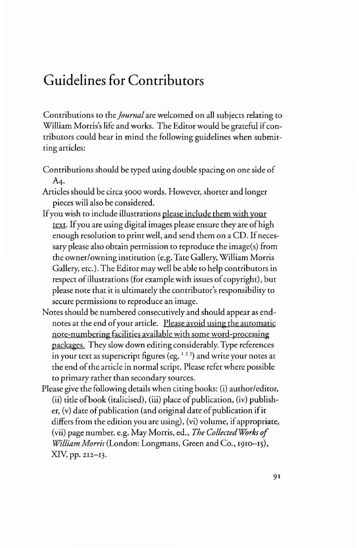## **Guidelines for Contributors**

Contributions to the *Journal* are welcomed on all subjects relating to William Morris's life and works. The Editor would be grateful if contributors could bear in mind the following guidelines when submitting articles:

- Contributions should be typed using double spacing on one side of A4.
- Articles should be circa 5000 words. However, shorter and longer pieces will also be considered.
- Ifyou wish to include illustrations please include them with your text. If you are using digital images please ensure they are of high enough resolution to print well, and send them on a CD. If necessary please also obtain permission to reproduce the image(s) from the owner/owning institution (e.g. Tate Gallery, William Morris Gallery, etc.). The Editor may well be able to help contributors in respect of illustrations (for example with issues of copyright), but please note that it is ulrimately the contributor's responsibility to secure permissions to reproduce an image.
- Notes should be numbered consecutively and should appear as endnotes at rhe end ofyour article. Please avoid using the automatic note-numbering facilities available with some word-processing packages. They slow down editing considerably. Type references in your text as superscript figures (eg.  $123$ ) and write your notes at the end of the article in normal script. Please refer where possible to primary rather than secondary sources.
- Please give the following details when citing books: (i) author/editor,  $(iii)$  title of book (italicised), (iii) place of publication, (iv) publisher,  $(v)$  date of publication (and original date of publication if it differs from the edition you are using), (vi) volume, if appropriate, (vii) page number. e.g. May Morris, ed., *The CollectedWorks of William Morris* (London: Longmans, Green and Co., 1910-15), XIV, pp. 212-13.